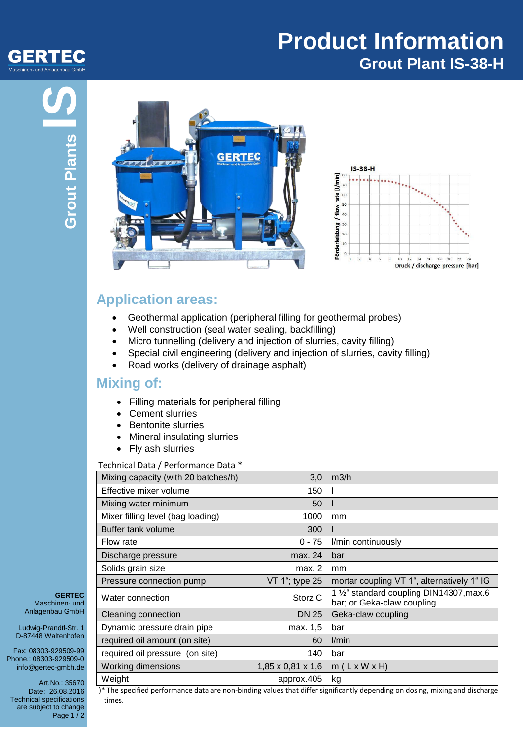

## **Product Information Grout Plant IS-38-H**





## **Application areas:**

- Geothermal application (peripheral filling for geothermal probes)
- Well construction (seal water sealing, backfilling)
- Micro tunnelling (delivery and injection of slurries, cavity filling)
- Special civil engineering (delivery and injection of slurries, cavity filling)
- Road works (delivery of drainage asphalt)

## **Mixing of:**

- Filling materials for peripheral filling
- Cement slurries
- Bentonite slurries
- Mineral insulating slurries
- Fly ash slurries

#### Technical Data / Performance Data \*

| Mixing capacity (with 20 batches/h) | 3,0                           | m3/h                                                                   |
|-------------------------------------|-------------------------------|------------------------------------------------------------------------|
| Effective mixer volume              | 150                           |                                                                        |
| Mixing water minimum                | 50                            |                                                                        |
| Mixer filling level (bag loading)   | 1000                          | mm                                                                     |
| Buffer tank volume                  | 300                           |                                                                        |
| Flow rate                           | $0 - 75$                      | I/min continuously                                                     |
| Discharge pressure                  | max. 24                       | bar                                                                    |
| Solids grain size                   | max. 2                        | mm                                                                     |
| Pressure connection pump            | VT 1"; type 25                | mortar coupling VT 1", alternatively 1" IG                             |
| Water connection                    | Storz <sub>C</sub>            | 1 1/2" standard coupling DIN14307, max.6<br>bar; or Geka-claw coupling |
| Cleaning connection                 | <b>DN 25</b>                  | Geka-claw coupling                                                     |
| Dynamic pressure drain pipe         | max. 1,5                      | bar                                                                    |
| required oil amount (on site)       | 60                            | l/min                                                                  |
| required oil pressure (on site)     | 140                           | bar                                                                    |
| <b>Working dimensions</b>           | $1,85 \times 0,81 \times 1,6$ | $m(L \times W \times H)$                                               |
| Weight                              | approx.405                    | kg                                                                     |

**GERTEC** Maschinen- und Anlagenbau GmbH

Ludwig-Prandtl-Str. 1 D-87448 Waltenhofen

Fax: 08303-929509-99 Phone.: 08303-929509-0 info@gertec-gmbh.de

Art.No.: 35670 Date: 26.08.2016 Technical specifications are subject to change Page 1/2

)\* The specified performance data are non-binding values that differ significantly depending on dosing, mixing and discharge times.